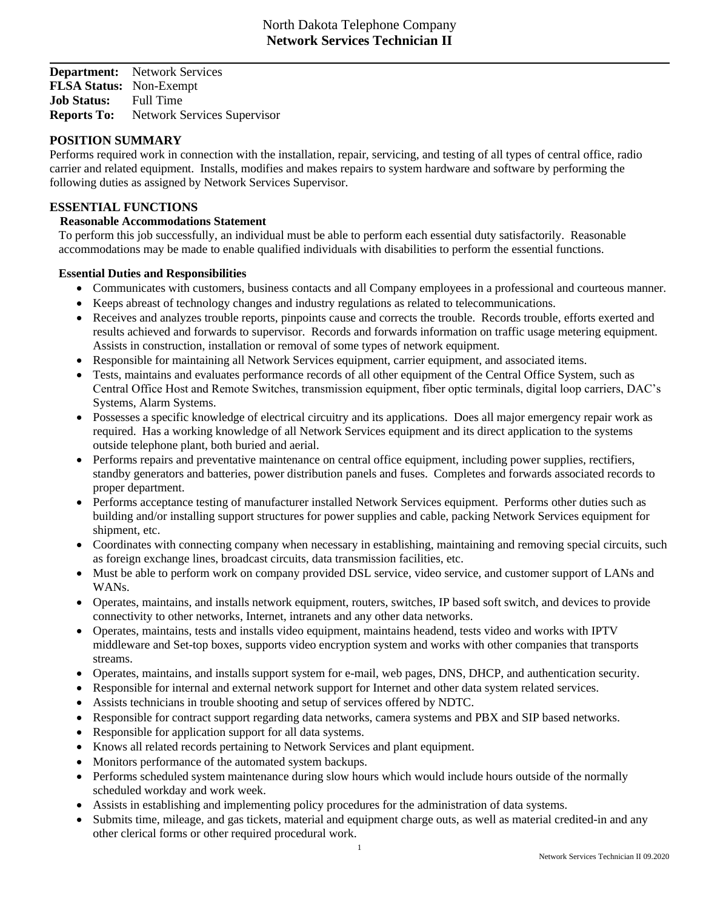**Department:** Network Services **FLSA Status:** Non-Exempt **Job Status:** Full Time **Reports To:** Network Services Supervisor

#### **POSITION SUMMARY**

Performs required work in connection with the installation, repair, servicing, and testing of all types of central office, radio carrier and related equipment. Installs, modifies and makes repairs to system hardware and software by performing the following duties as assigned by Network Services Supervisor.

### **ESSENTIAL FUNCTIONS**

#### **Reasonable Accommodations Statement**

 To perform this job successfully, an individual must be able to perform each essential duty satisfactorily. Reasonable accommodations may be made to enable qualified individuals with disabilities to perform the essential functions.

### **Essential Duties and Responsibilities**

- Communicates with customers, business contacts and all Company employees in a professional and courteous manner.
- Keeps abreast of technology changes and industry regulations as related to telecommunications.
- Receives and analyzes trouble reports, pinpoints cause and corrects the trouble. Records trouble, efforts exerted and results achieved and forwards to supervisor. Records and forwards information on traffic usage metering equipment. Assists in construction, installation or removal of some types of network equipment.
- Responsible for maintaining all Network Services equipment, carrier equipment, and associated items.
- Tests, maintains and evaluates performance records of all other equipment of the Central Office System, such as Central Office Host and Remote Switches, transmission equipment, fiber optic terminals, digital loop carriers, DAC's Systems, Alarm Systems.
- Possesses a specific knowledge of electrical circuitry and its applications. Does all major emergency repair work as required. Has a working knowledge of all Network Services equipment and its direct application to the systems outside telephone plant, both buried and aerial.
- Performs repairs and preventative maintenance on central office equipment, including power supplies, rectifiers, standby generators and batteries, power distribution panels and fuses. Completes and forwards associated records to proper department.
- Performs acceptance testing of manufacturer installed Network Services equipment. Performs other duties such as building and/or installing support structures for power supplies and cable, packing Network Services equipment for shipment, etc.
- Coordinates with connecting company when necessary in establishing, maintaining and removing special circuits, such as foreign exchange lines, broadcast circuits, data transmission facilities, etc.
- Must be able to perform work on company provided DSL service, video service, and customer support of LANs and WANs.
- Operates, maintains, and installs network equipment, routers, switches, IP based soft switch, and devices to provide connectivity to other networks, Internet, intranets and any other data networks.
- Operates, maintains, tests and installs video equipment, maintains headend, tests video and works with IPTV middleware and Set-top boxes, supports video encryption system and works with other companies that transports streams.
- Operates, maintains, and installs support system for e-mail, web pages, DNS, DHCP, and authentication security.
- Responsible for internal and external network support for Internet and other data system related services.
- Assists technicians in trouble shooting and setup of services offered by NDTC.
- Responsible for contract support regarding data networks, camera systems and PBX and SIP based networks.
- Responsible for application support for all data systems.
- Knows all related records pertaining to Network Services and plant equipment.
- Monitors performance of the automated system backups.
- Performs scheduled system maintenance during slow hours which would include hours outside of the normally scheduled workday and work week.
- Assists in establishing and implementing policy procedures for the administration of data systems.
- Submits time, mileage, and gas tickets, material and equipment charge outs, as well as material credited-in and any other clerical forms or other required procedural work.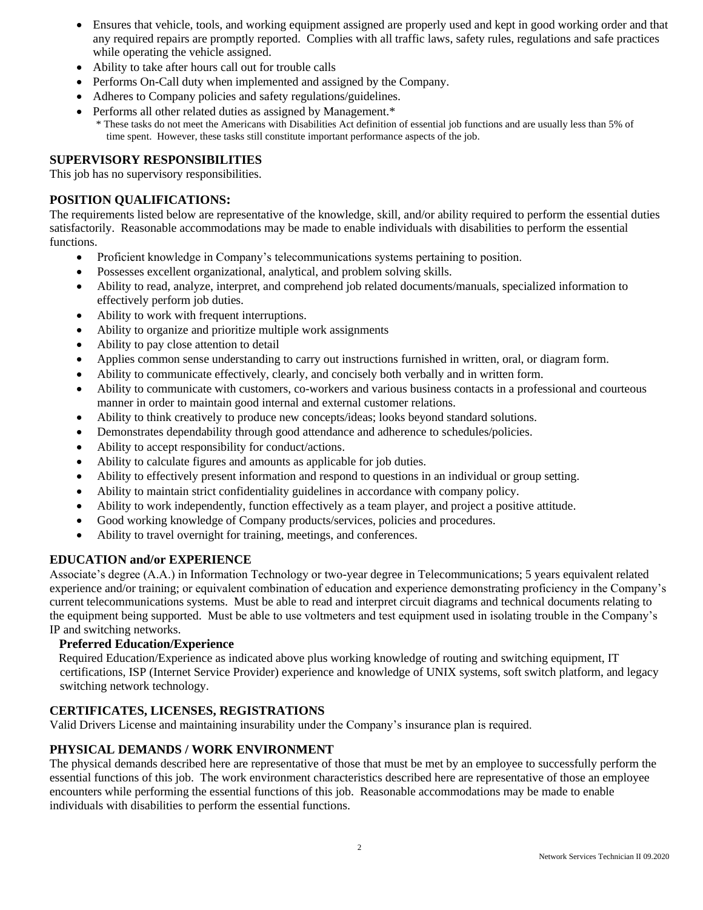- Ensures that vehicle, tools, and working equipment assigned are properly used and kept in good working order and that any required repairs are promptly reported. Complies with all traffic laws, safety rules, regulations and safe practices while operating the vehicle assigned.
- Ability to take after hours call out for trouble calls
- Performs On-Call duty when implemented and assigned by the Company.
- Adheres to Company policies and safety regulations/guidelines.
- Performs all other related duties as assigned by Management.\*

 \* These tasks do not meet the Americans with Disabilities Act definition of essential job functions and are usually less than 5% of time spent. However, these tasks still constitute important performance aspects of the job.

# **SUPERVISORY RESPONSIBILITIES**

This job has no supervisory responsibilities.

# **POSITION QUALIFICATIONS:**

The requirements listed below are representative of the knowledge, skill, and/or ability required to perform the essential duties satisfactorily. Reasonable accommodations may be made to enable individuals with disabilities to perform the essential functions.

- Proficient knowledge in Company's telecommunications systems pertaining to position.
- Possesses excellent organizational, analytical, and problem solving skills.
- Ability to read, analyze, interpret, and comprehend job related documents/manuals, specialized information to effectively perform job duties.
- Ability to work with frequent interruptions.
- Ability to organize and prioritize multiple work assignments
- Ability to pay close attention to detail
- Applies common sense understanding to carry out instructions furnished in written, oral, or diagram form.
- Ability to communicate effectively, clearly, and concisely both verbally and in written form.
- Ability to communicate with customers, co-workers and various business contacts in a professional and courteous manner in order to maintain good internal and external customer relations.
- Ability to think creatively to produce new concepts/ideas; looks beyond standard solutions.
- Demonstrates dependability through good attendance and adherence to schedules/policies.
- Ability to accept responsibility for conduct/actions.
- Ability to calculate figures and amounts as applicable for job duties.
- Ability to effectively present information and respond to questions in an individual or group setting.
- Ability to maintain strict confidentiality guidelines in accordance with company policy.
- Ability to work independently, function effectively as a team player, and project a positive attitude.
- Good working knowledge of Company products/services, policies and procedures.
- Ability to travel overnight for training, meetings, and conferences.

# **EDUCATION and/or EXPERIENCE**

Associate's degree (A.A.) in Information Technology or two-year degree in Telecommunications; 5 years equivalent related experience and/or training; or equivalent combination of education and experience demonstrating proficiency in the Company's current telecommunications systems. Must be able to read and interpret circuit diagrams and technical documents relating to the equipment being supported. Must be able to use voltmeters and test equipment used in isolating trouble in the Company's IP and switching networks.

#### **Preferred Education/Experience**

 Required Education/Experience as indicated above plus working knowledge of routing and switching equipment, IT certifications, ISP (Internet Service Provider) experience and knowledge of UNIX systems, soft switch platform, and legacy switching network technology.

# **CERTIFICATES, LICENSES, REGISTRATIONS**

Valid Drivers License and maintaining insurability under the Company's insurance plan is required.

# **PHYSICAL DEMANDS / WORK ENVIRONMENT**

The physical demands described here are representative of those that must be met by an employee to successfully perform the essential functions of this job. The work environment characteristics described here are representative of those an employee encounters while performing the essential functions of this job. Reasonable accommodations may be made to enable individuals with disabilities to perform the essential functions.